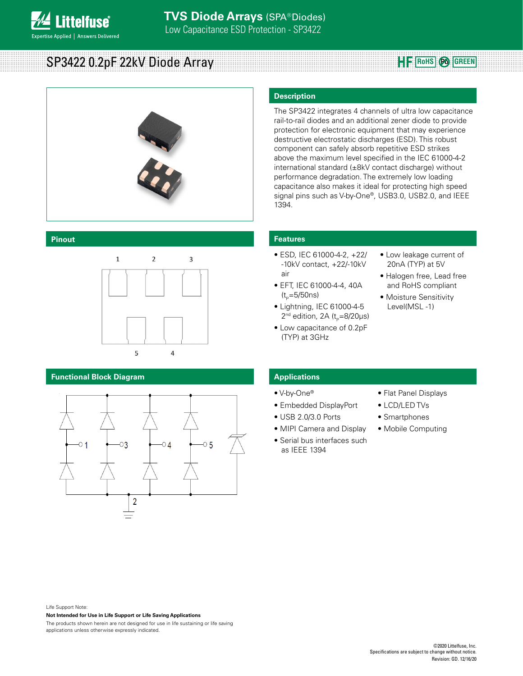SP3422 0.2pF 22kV Diode Array **Roughlands Papa 22kV** Diode Array

**ittelfuse** 

**Expertise Applied | Answers Delivered** 



#### **Pinout**



## **Functional Block Diagram**



## **Description**

The SP3422 integrates 4 channels of ultra low capacitance rail-to-rail diodes and an additional zener diode to provide protection for electronic equipment that may experience destructive electrostatic discharges (ESD). This robust component can safely absorb repetitive ESD strikes above the maximum level specified in the IEC 61000-4-2 international standard (±8kV contact discharge) without performance degradation. The extremely low loading capacitance also makes it ideal for protecting high speed signal pins such as V-by-One®, USB3.0, USB2.0, and IEEE 1394.

## **Features**

- ESD, IEC 61000-4-2, +22/ -10kV contact, +22/-10kV air
- EFT, IEC 61000-4-4, 40A  $(t_{p}=5/50ns)$
- Lightning, IEC 61000-4-5  $2<sup>nd</sup>$  edition, 2A (t<sub>p</sub>=8/20µs)
- Low capacitance of 0.2pF (TYP) at 3GHz
- Low leakage current of 20nA (TYP) at 5V
- Halogen free, Lead free and RoHS compliant
- Moisture Sensitivity Level(MSL -1)

## **Applications**

- V-by-One®
- Embedded DisplayPort
- USB 2.0/3.0 Ports
- MIPI Camera and Display
- Serial bus interfaces such as IEEE 1394
- Flat Panel Displays
- LCD/LED TVs
- Smartphones
- Mobile Computing

Life Support Note:

**Not Intended for Use in Life Support or Life Saving Applications**

The products shown herein are not designed for use in life sustaining or life saving applications unless otherwise expressly indicated.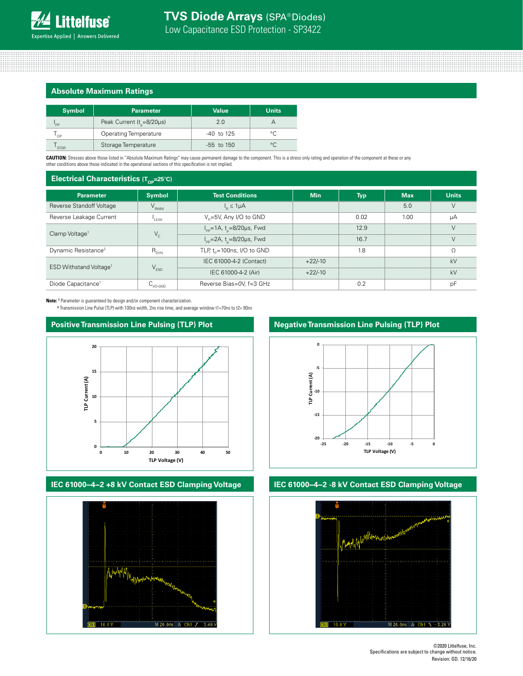## **Absolute Maximum Ratings**

| <b>Symbol</b> | <b>Parameter</b>                     | <b>Value</b> | <b>Units</b> |
|---------------|--------------------------------------|--------------|--------------|
| 'PP           | Peak Current $(t_{\rm s}=8/20\mu s)$ | 2.0          |              |
| OP            | Operating Temperature                | -40 to 125   | $\circ$      |
| <b>STOR</b>   | Storage Temperature                  | $-55$ to 150 | $\circ$      |

**CAUTION:** Stresses above those listed in "Absolute Maximum Ratings" may cause permanent damage to the component. This is a stress only rating and operation of the component at these or any<br>other conditions above those ind

#### **Electrical Characteristics (T<sub>op</sub>=25<sup>°</sup>C)**

| ur.                                |                      |                                                               |            |            |            |              |
|------------------------------------|----------------------|---------------------------------------------------------------|------------|------------|------------|--------------|
| <b>Parameter</b>                   | <b>Symbol</b>        | <b>Test Conditions</b>                                        | <b>Min</b> | <b>Typ</b> | <b>Max</b> | <b>Units</b> |
| Reverse Standoff Voltage           | $V_{RWM}$            | $I_{\rm B} \leq 1 \mu A$                                      |            |            | 5.0        | $\vee$       |
| Reverse Leakage Current            | LEAK                 | $V_p = 5V$ , Any I/O to GND                                   |            | 0.02       | 1.00       | μA           |
| Clamp Voltage <sup>1</sup>         | $V_c$                | $I_{\text{pp}} = 1 \text{A}, t_{\text{n}} = 8/20 \mu s$ , Fwd |            | 12.9       |            | $\vee$       |
|                                    |                      | $I_{\rm pp}$ =2A, t <sub>o</sub> =8/20µs, Fwd                 |            | 16.7       |            | $\vee$       |
| Dynamic Resistance <sup>2</sup>    | $R_{DYN}$            | TLP, $t_0 = 100$ ns, I/O to GND                               |            | 1.8        |            | $\Omega$     |
| ESD Withstand Voltage <sup>1</sup> | $V_{ESD}$            | IEC 61000-4-2 (Contact)                                       | $+22/-10$  |            |            | kV           |
|                                    |                      | IEC 61000-4-2 (Air)                                           | $+22/-10$  |            |            | kV           |
| Diode Capacitance <sup>1</sup>     | ∪ <sub>I/O-GND</sub> | Reverse Bias=0V, f=3 GHz                                      |            | 0.2        |            | pF           |

**Note: 1** Parameter is guaranteed by design and/or component characterization.

**<sup>2</sup>** Transmission Line Pulse (TLP) with 100ns width, 2ns rise time, and average window t1=70ns to t2= 90ns



## **IEC 61000−4−2 +8 kV Contact ESD Clamping Voltage IEC 61000−4−2 -8 kV Contact ESD Clamping Voltage**



## **Negative Transmission Line Pulsing (TLP) Plot**



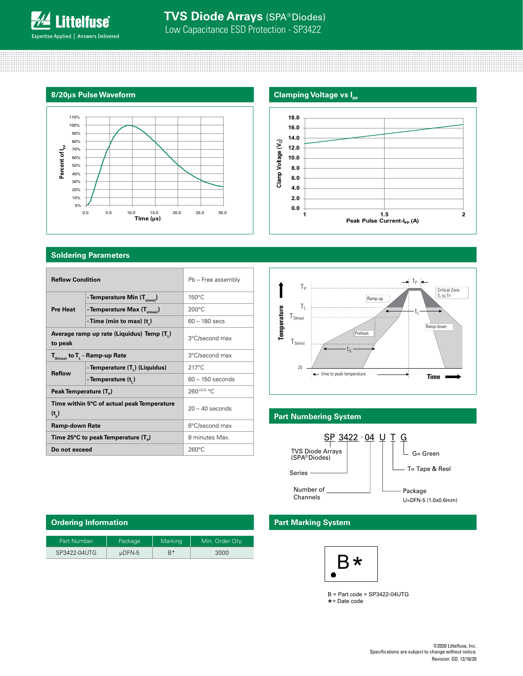#### **8/20μs Pulse Waveform**



## **Soldering Parameters**

| <b>Reflow Condition</b>                                 |                                  | Pb - Free assembly | $T_{P}$               |                              |  | <b>Lp</b>     |
|---------------------------------------------------------|----------------------------------|--------------------|-----------------------|------------------------------|--|---------------|
|                                                         | - Temperature Min $(T_{s(min)})$ | $150^{\circ}$ C    |                       | Ramp-up                      |  | $\frac{C}{T}$ |
| <b>Pre Heat</b>                                         | - Temperature Max $(T_{s(max)})$ | $200^{\circ}$ C    | T <sub>i</sub>        |                              |  |               |
|                                                         | -Time (min to max) $(t_n)$       | $60 - 180$ secs    | $T_{S(max)}$          |                              |  | Ramp-do       |
| Average ramp up rate (Liquidus) Temp (T,)<br>to peak    |                                  | 3°C/second max     | Temperature<br>S(min) | Preheat                      |  |               |
| $T_{S(max)}$ to $T_{L}$ - Ramp-up Rate                  |                                  | 3°C/second max     |                       | ίs                           |  |               |
|                                                         | - Temperature (T.) (Liquidus)    | $217^{\circ}$ C    | 25                    |                              |  |               |
| <b>Reflow</b><br>- Temperature (t,)                     |                                  | $60 - 150$ seconds |                       | ime to peak temperature      |  | <b>Time</b>   |
| Peak Temperature (T <sub>B</sub> )                      |                                  | $260^{+0/5}$ °C    |                       |                              |  |               |
| Time within 5°C of actual peak Temperature<br>$(t_{n})$ |                                  | $20 - 40$ seconds  |                       | <b>Part Numbering System</b> |  |               |
| <b>Ramp-down Rate</b>                                   |                                  | 6°C/second max     |                       |                              |  |               |
| Time 25°C to peak Temperature (T <sub>n</sub> )         |                                  | 8 minutes Max.     |                       | SP 3422 - 04 U               |  | <u>G</u>      |
| Do not exceed                                           |                                  | $260^{\circ}$ C    |                       | <b>TVS Diode Arrays</b>      |  | $G = Green$   |





## **Part Numbering System**



| <b>Part Marking System</b> |  |
|----------------------------|--|
|----------------------------|--|



B = Part code = SP3422-04UTG \*= Date code

| Ordering Information |             |         |                 |
|----------------------|-------------|---------|-----------------|
| Part Number          | Package     | Marking | Min. Order Qtv. |
| SP3422-04UTG         | $\mu$ DFN-5 | $B^*$   | 3000            |